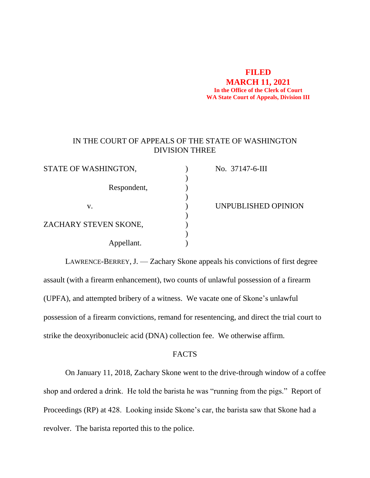#### **FILED**

**MARCH 11, 2021 In the Office of the Clerk of Court WA State Court of Appeals, Division III**

# IN THE COURT OF APPEALS OF THE STATE OF WASHINGTON DIVISION THREE

| STATE OF WASHINGTON,  | No. 37147-6-III     |
|-----------------------|---------------------|
|                       |                     |
| Respondent,           |                     |
|                       |                     |
| V.                    | UNPUBLISHED OPINION |
|                       |                     |
| ZACHARY STEVEN SKONE, |                     |
|                       |                     |
| Appellant.            |                     |

LAWRENCE-BERREY, J. — Zachary Skone appeals his convictions of first degree assault (with a firearm enhancement), two counts of unlawful possession of a firearm (UPFA), and attempted bribery of a witness. We vacate one of Skone's unlawful possession of a firearm convictions, remand for resentencing, and direct the trial court to strike the deoxyribonucleic acid (DNA) collection fee. We otherwise affirm.

### FACTS

On January 11, 2018, Zachary Skone went to the drive-through window of a coffee shop and ordered a drink. He told the barista he was "running from the pigs." Report of Proceedings (RP) at 428. Looking inside Skone's car, the barista saw that Skone had a revolver. The barista reported this to the police.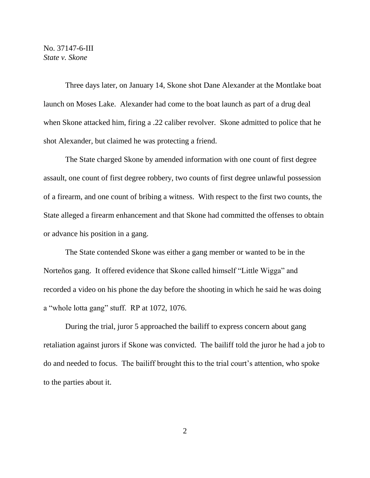Three days later, on January 14, Skone shot Dane Alexander at the Montlake boat launch on Moses Lake. Alexander had come to the boat launch as part of a drug deal when Skone attacked him, firing a .22 caliber revolver. Skone admitted to police that he shot Alexander, but claimed he was protecting a friend.

The State charged Skone by amended information with one count of first degree assault, one count of first degree robbery, two counts of first degree unlawful possession of a firearm, and one count of bribing a witness. With respect to the first two counts, the State alleged a firearm enhancement and that Skone had committed the offenses to obtain or advance his position in a gang.

The State contended Skone was either a gang member or wanted to be in the Norteños gang. It offered evidence that Skone called himself "Little Wigga" and recorded a video on his phone the day before the shooting in which he said he was doing a "whole lotta gang" stuff. RP at 1072, 1076.

During the trial, juror 5 approached the bailiff to express concern about gang retaliation against jurors if Skone was convicted. The bailiff told the juror he had a job to do and needed to focus. The bailiff brought this to the trial court's attention, who spoke to the parties about it.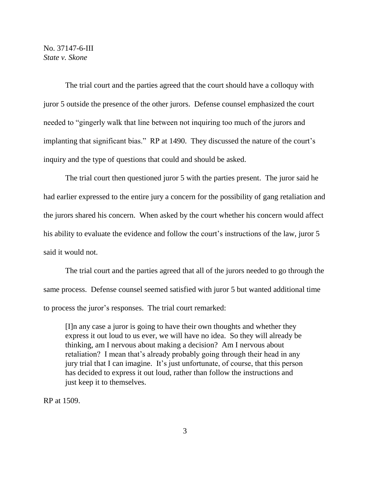The trial court and the parties agreed that the court should have a colloquy with juror 5 outside the presence of the other jurors. Defense counsel emphasized the court needed to "gingerly walk that line between not inquiring too much of the jurors and implanting that significant bias." RP at 1490. They discussed the nature of the court's inquiry and the type of questions that could and should be asked.

The trial court then questioned juror 5 with the parties present. The juror said he had earlier expressed to the entire jury a concern for the possibility of gang retaliation and the jurors shared his concern. When asked by the court whether his concern would affect his ability to evaluate the evidence and follow the court's instructions of the law, juror 5 said it would not.

The trial court and the parties agreed that all of the jurors needed to go through the same process. Defense counsel seemed satisfied with juror 5 but wanted additional time to process the juror's responses. The trial court remarked:

[I]n any case a juror is going to have their own thoughts and whether they express it out loud to us ever, we will have no idea. So they will already be thinking, am I nervous about making a decision? Am I nervous about retaliation? I mean that's already probably going through their head in any jury trial that I can imagine. It's just unfortunate, of course, that this person has decided to express it out loud, rather than follow the instructions and just keep it to themselves.

RP at 1509.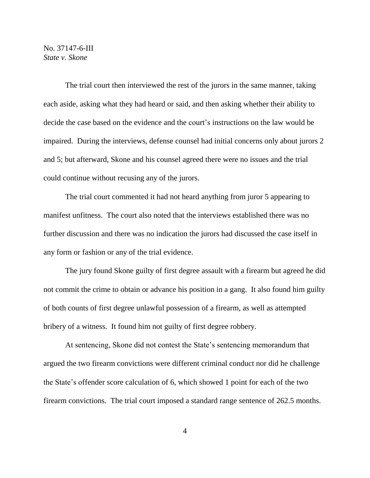The trial court then interviewed the rest of the jurors in the same manner, taking each aside, asking what they had heard or said, and then asking whether their ability to decide the case based on the evidence and the court's instructions on the law would be impaired. During the interviews, defense counsel had initial concerns only about jurors 2 and 5; but afterward, Skone and his counsel agreed there were no issues and the trial could continue without recusing any of the jurors.

The trial court commented it had not heard anything from juror 5 appearing to manifest unfitness. The court also noted that the interviews established there was no further discussion and there was no indication the jurors had discussed the case itself in any form or fashion or any of the trial evidence.

The jury found Skone guilty of first degree assault with a firearm but agreed he did not commit the crime to obtain or advance his position in a gang. It also found him guilty of both counts of first degree unlawful possession of a firearm, as well as attempted bribery of a witness. It found him not guilty of first degree robbery.

At sentencing, Skone did not contest the State's sentencing memorandum that argued the two firearm convictions were different criminal conduct nor did he challenge the State's offender score calculation of 6, which showed 1 point for each of the two firearm convictions. The trial court imposed a standard range sentence of 262.5 months.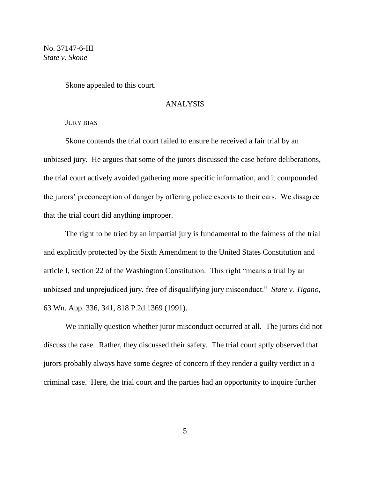Skone appealed to this court.

# ANALYSIS

#### JURY BIAS

Skone contends the trial court failed to ensure he received a fair trial by an unbiased jury. He argues that some of the jurors discussed the case before deliberations, the trial court actively avoided gathering more specific information, and it compounded the jurors' preconception of danger by offering police escorts to their cars. We disagree that the trial court did anything improper.

The right to be tried by an impartial jury is fundamental to the fairness of the trial and explicitly protected by the Sixth Amendment to the United States Constitution and article I, section 22 of the Washington Constitution. This right "means a trial by an unbiased and unprejudiced jury, free of disqualifying jury misconduct." *State v. Tigano*, 63 Wn. App. 336, 341, 818 P.2d 1369 (1991).

We initially question whether juror misconduct occurred at all. The jurors did not discuss the case. Rather, they discussed their safety. The trial court aptly observed that jurors probably always have some degree of concern if they render a guilty verdict in a criminal case. Here, the trial court and the parties had an opportunity to inquire further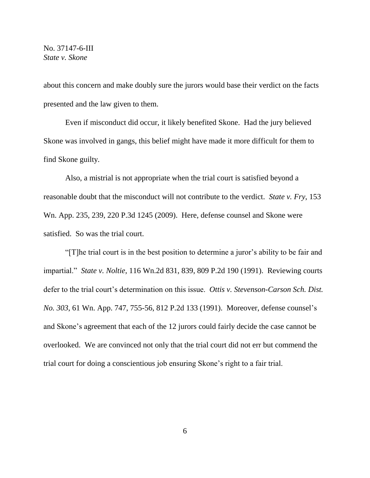about this concern and make doubly sure the jurors would base their verdict on the facts presented and the law given to them.

Even if misconduct did occur, it likely benefited Skone. Had the jury believed Skone was involved in gangs, this belief might have made it more difficult for them to find Skone guilty.

Also, a mistrial is not appropriate when the trial court is satisfied beyond a reasonable doubt that the misconduct will not contribute to the verdict. *State v. Fry*, 153 Wn. App. 235, 239, 220 P.3d 1245 (2009). Here, defense counsel and Skone were satisfied. So was the trial court.

"[T]he trial court is in the best position to determine a juror's ability to be fair and impartial." *State v. Noltie*, 116 Wn.2d 831, 839, 809 P.2d 190 (1991). Reviewing courts defer to the trial court's determination on this issue. *Ottis v. Stevenson-Carson Sch. Dist. No. 303*, 61 Wn. App. 747, 755-56, 812 P.2d 133 (1991). Moreover, defense counsel's and Skone's agreement that each of the 12 jurors could fairly decide the case cannot be overlooked. We are convinced not only that the trial court did not err but commend the trial court for doing a conscientious job ensuring Skone's right to a fair trial.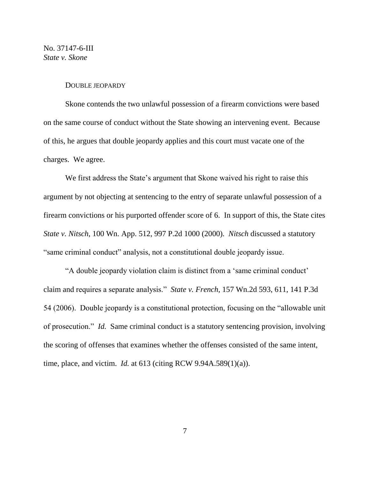#### DOUBLE JEOPARDY

Skone contends the two unlawful possession of a firearm convictions were based on the same course of conduct without the State showing an intervening event. Because of this, he argues that double jeopardy applies and this court must vacate one of the charges. We agree.

We first address the State's argument that Skone waived his right to raise this argument by not objecting at sentencing to the entry of separate unlawful possession of a firearm convictions or his purported offender score of 6. In support of this, the State cites *State v. Nitsch*, 100 Wn. App. 512, 997 P.2d 1000 (2000). *Nitsch* discussed a statutory "same criminal conduct" analysis, not a constitutional double jeopardy issue.

"A double jeopardy violation claim is distinct from a 'same criminal conduct' claim and requires a separate analysis." *State v. French*, 157 Wn.2d 593, 611, 141 P.3d 54 (2006). Double jeopardy is a constitutional protection, focusing on the "allowable unit of prosecution." *Id.* Same criminal conduct is a statutory sentencing provision, involving the scoring of offenses that examines whether the offenses consisted of the same intent, time, place, and victim. *Id.* at 613 (citing RCW 9.94A.589(1)(a)).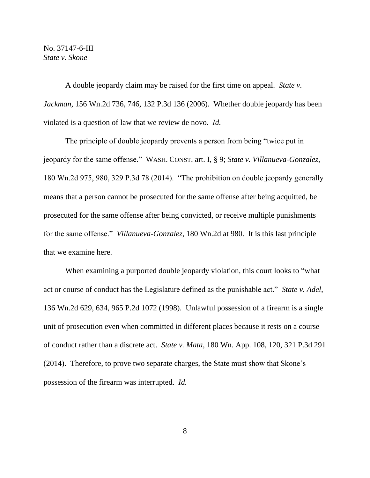A double jeopardy claim may be raised for the first time on appeal. *State v. Jackman*, 156 Wn.2d 736, 746, 132 P.3d 136 (2006). Whether double jeopardy has been violated is a question of law that we review de novo. *Id.*

The principle of double jeopardy prevents a person from being "twice put in jeopardy for the same offense." WASH. CONST. art. I, § 9; *State v. Villanueva-Gonzalez*, 180 Wn.2d 975, 980, 329 P.3d 78 (2014). "The prohibition on double jeopardy generally means that a person cannot be prosecuted for the same offense after being acquitted, be prosecuted for the same offense after being convicted, or receive multiple punishments for the same offense." *Villanueva-Gonzalez*, 180 Wn.2d at 980. It is this last principle that we examine here.

When examining a purported double jeopardy violation, this court looks to "what act or course of conduct has the Legislature defined as the punishable act." *State v. Adel*, 136 Wn.2d 629, 634, 965 P.2d 1072 (1998). Unlawful possession of a firearm is a single unit of prosecution even when committed in different places because it rests on a course of conduct rather than a discrete act. *State v. Mata*, 180 Wn. App. 108, 120, 321 P.3d 291 (2014). Therefore, to prove two separate charges, the State must show that Skone's possession of the firearm was interrupted. *Id.*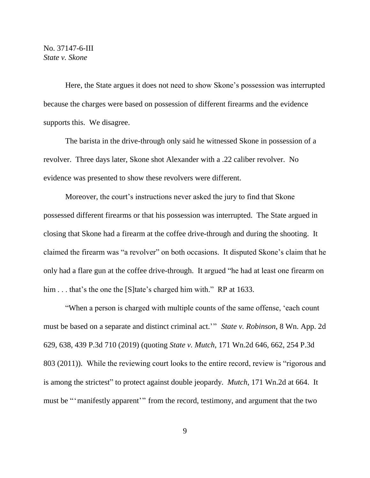Here, the State argues it does not need to show Skone's possession was interrupted because the charges were based on possession of different firearms and the evidence supports this. We disagree.

The barista in the drive-through only said he witnessed Skone in possession of a revolver. Three days later, Skone shot Alexander with a .22 caliber revolver. No evidence was presented to show these revolvers were different.

Moreover, the court's instructions never asked the jury to find that Skone possessed different firearms or that his possession was interrupted. The State argued in closing that Skone had a firearm at the coffee drive-through and during the shooting. It claimed the firearm was "a revolver" on both occasions. It disputed Skone's claim that he only had a flare gun at the coffee drive-through. It argued "he had at least one firearm on him . . . that's the one the [S]tate's charged him with." RP at 1633.

"When a person is charged with multiple counts of the same offense, 'each count must be based on a separate and distinct criminal act.'" *State v. Robinson*, 8 Wn. App. 2d 629, 638, 439 P.3d 710 (2019) (quoting *State v. Mutch*, 171 Wn.2d 646, 662, 254 P.3d 803 (2011)). While the reviewing court looks to the entire record, review is "rigorous and is among the strictest" to protect against double jeopardy. *Mutch*, 171 Wn.2d at 664. It must be "'manifestly apparent'" from the record, testimony, and argument that the two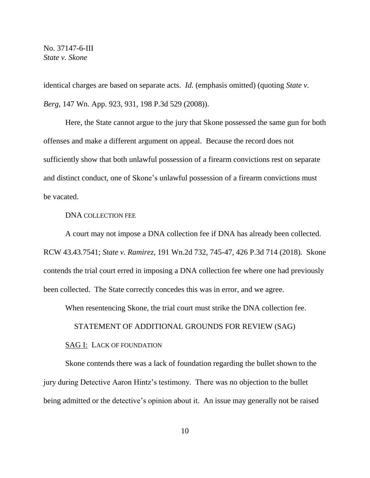identical charges are based on separate acts. *Id.* (emphasis omitted) (quoting *State v. Berg*, 147 Wn. App. 923, 931, 198 P.3d 529 (2008)).

Here, the State cannot argue to the jury that Skone possessed the same gun for both offenses and make a different argument on appeal. Because the record does not sufficiently show that both unlawful possession of a firearm convictions rest on separate and distinct conduct, one of Skone's unlawful possession of a firearm convictions must be vacated.

### DNA COLLECTION FEE

A court may not impose a DNA collection fee if DNA has already been collected. RCW 43.43.7541; *State v. Ramirez*, 191 Wn.2d 732, 745-47, 426 P.3d 714 (2018). Skone contends the trial court erred in imposing a DNA collection fee where one had previously been collected. The State correctly concedes this was in error, and we agree.

When resentencing Skone, the trial court must strike the DNA collection fee.

## STATEMENT OF ADDITIONAL GROUNDS FOR REVIEW (SAG)

## SAG I: LACK OF FOUNDATION

Skone contends there was a lack of foundation regarding the bullet shown to the jury during Detective Aaron Hintz's testimony. There was no objection to the bullet being admitted or the detective's opinion about it. An issue may generally not be raised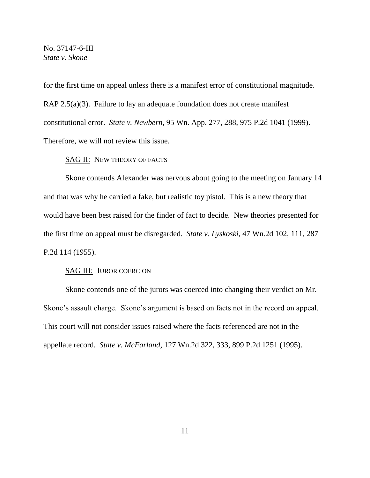for the first time on appeal unless there is a manifest error of constitutional magnitude. RAP 2.5(a)(3). Failure to lay an adequate foundation does not create manifest constitutional error. *State v. Newbern*, 95 Wn. App. 277, 288, 975 P.2d 1041 (1999). Therefore, we will not review this issue.

## SAG II: NEW THEORY OF FACTS

Skone contends Alexander was nervous about going to the meeting on January 14 and that was why he carried a fake, but realistic toy pistol. This is a new theory that would have been best raised for the finder of fact to decide. New theories presented for the first time on appeal must be disregarded. *State v. Lyskoski*, 47 Wn.2d 102, 111, 287 P.2d 114 (1955).

#### SAG III: JUROR COERCION

Skone contends one of the jurors was coerced into changing their verdict on Mr. Skone's assault charge. Skone's argument is based on facts not in the record on appeal. This court will not consider issues raised where the facts referenced are not in the appellate record. *State v. McFarland*, 127 Wn.2d 322, 333, 899 P.2d 1251 (1995).